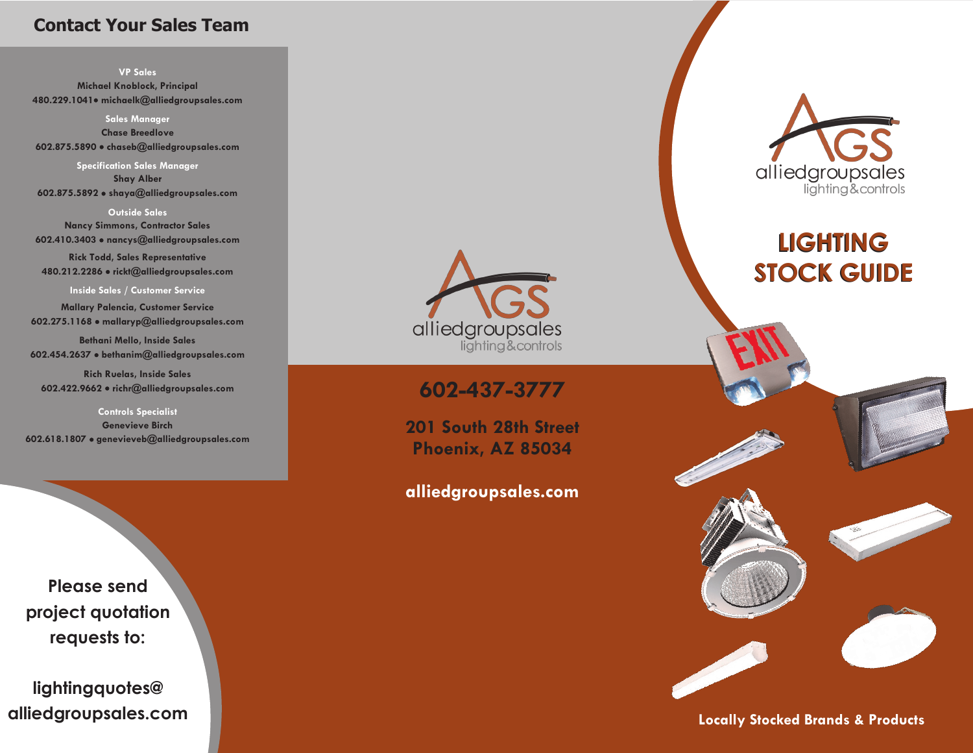## **Contact Your Sales Team**

**VP Sales**

**Michael Knoblock, Principal 480.229.1041 michaelk@alliedgroupsales.com**

**Sales Manager Chase Breedlove 602.875.5890 chaseb@alliedgroupsales.com**

**Specification Sales Manager Shay Alber 602.875.5892 shaya@alliedgroupsales.com** 

**Outside Sales Nancy Simmons, Contractor Sales 602.410.3403 nancys@alliedgroupsales.com Rick Todd, Sales Representative 480.212.2286 rickt@alliedgroupsales.com**

#### **Inside Sales / Customer Service**

**Mallary Palencia, Customer Service 602.275.1168 mallaryp@alliedgroupsales.com**

**Bethani Mello, Inside Sales 602.454.2637 bethanim@alliedgroupsales.com**

**Rich Ruelas, Inside Sales 602.422.9662 richr@alliedgroupsales.com**

**Controls Specialist Genevieve Birch 602.618.1807 genevieveb@alliedgroupsales.com**

**Please send project quotation requests to:** 

**lightingquotes@ alliedgroupsales.com** 



# **@ 602-437-3777**

**201 South 28th Street Phoenix, AZ 85034**

## **alliedgroupsales.com**



**LIGHTING STOCK GUIDE**